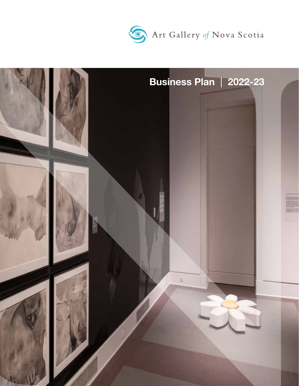

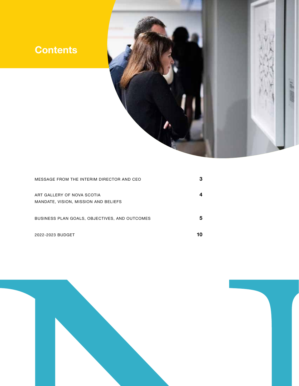# **Contents**



| MESSAGE FROM THE INTERIM DIRECTOR AND CEO                          | з |
|--------------------------------------------------------------------|---|
| ART GALLERY OF NOVA SCOTIA<br>MANDATE, VISION, MISSION AND BELIEFS |   |
| BUSINESS PLAN GOALS, OBJECTIVES, AND OUTCOMES                      | 5 |
| 2022-2023 BUDGET                                                   |   |

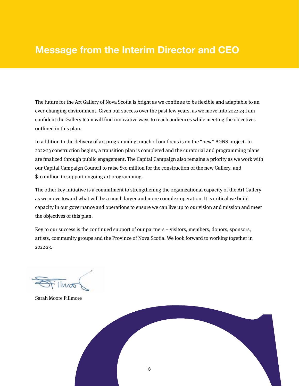# **Message from the Interim Director and CEO**

The future for the Art Gallery of Nova Scotia is bright as we continue to be flexible and adaptable to an ever-changing environment. Given our success over the past few years, as we move into 2022-23 I am confident the Gallery team will find innovative ways to reach audiences while meeting the objectives outlined in this plan.

In addition to the delivery of art programming, much of our focus is on the "new" AGNS project. In 2022-23 construction begins, a transition plan is completed and the curatorial and programming plans are finalized through public engagement. The Capital Campaign also remains a priority as we work with our Capital Campaign Council to raise \$30 million for the construction of the new Gallery, and \$10 million to support ongoing art programming.

The other key initiative is a commitment to strengthening the organizational capacity of the Art Gallery as we move toward what will be a much larger and more complex operation. It is critical we build capacity in our governance and operations to ensure we can live up to our vision and mission and meet the objectives of this plan.

Key to our success is the continued support of our partners – visitors, members, donors, sponsors, artists, community groups and the Province of Nova Scotia. We look forward to working together in 2022-23.

 $11000$ 

Sarah Moore Fillmore

![](_page_2_Picture_7.jpeg)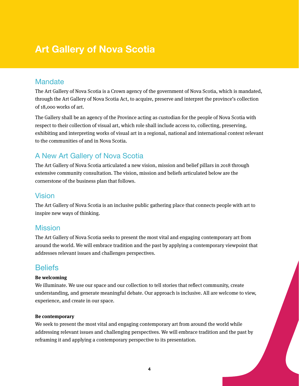# **Art Gallery of Nova Scotia**

### **Mandate**

The Art Gallery of Nova Scotia is a Crown agency of the government of Nova Scotia, which is mandated, through the Art Gallery of Nova Scotia Act, to acquire, preserve and interpret the province's collection of 18,000 works of art.

The Gallery shall be an agency of the Province acting as custodian for the people of Nova Scotia with respect to their collection of visual art, which role shall include access to, collecting, preserving, exhibiting and interpreting works of visual art in a regional, national and international context relevant to the communities of and in Nova Scotia.

# A New Art Gallery of Nova Scotia

The Art Gallery of Nova Scotia articulated a new vision, mission and belief pillars in 2018 through extensive community consultation. The vision, mission and beliefs articulated below are the cornerstone of the business plan that follows.

### Vision

The Art Gallery of Nova Scotia is an inclusive public gathering place that connects people with art to inspire new ways of thinking.

### **Mission**

The Art Gallery of Nova Scotia seeks to present the most vital and engaging contemporary art from around the world. We will embrace tradition and the past by applying a contemporary viewpoint that addresses relevant issues and challenges perspectives.

# **Beliefs**

### **Be welcoming**

We illuminate. We use our space and our collection to tell stories that reflect community, create understanding, and generate meaningful debate. Our approach is inclusive. All are welcome to view, experience, and create in our space.

### **Be contemporary**

We seek to present the most vital and engaging contemporary art from around the world while addressing relevant issues and challenging perspectives. We will embrace tradition and the past by reframing it and applying a contemporary perspective to its presentation.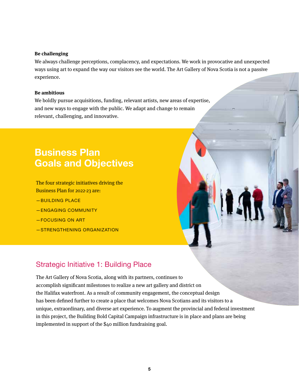#### **Be challenging**

We always challenge perceptions, complacency, and expectations. We work in provocative and unexpected ways using art to expand the way our visitors see the world. The Art Gallery of Nova Scotia is not a passive experience.

#### **Be ambitious**

We boldly pursue acquisitions, funding, relevant artists, new areas of expertise, and new ways to engage with the public. We adapt and change to remain relevant, challenging, and innovative.

# **Business Plan Goals and Objectives**

The four strategic initiatives driving the Business Plan for 2022-23 are:

- —BUILDING PLACE
- —ENGAGING COMMUNITY
- —FOCUSING ON ART
- —STRENGTHENING ORGANIZATION

### Strategic Initiative 1: Building Place

The Art Gallery of Nova Scotia, along with its partners, continues to accomplish significant milestones to realize a new art gallery and district on the Halifax waterfront. As a result of community engagement, the conceptual design has been defined further to create a place that welcomes Nova Scotians and its visitors to a unique, extraordinary, and diverse art experience. To augment the provincial and federal investment in this project, the Building Bold Capital Campaign infrastructure is in place and plans are being implemented in support of the \$40 million fundraising goal.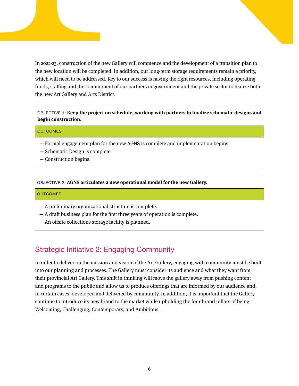In 2022-23, construction of the new Gallery will commence and the development of a transition plan to the new location will be completed. In addition, our long-term storage requirements remain a priority, which will need to be addressed. Key to our success is having the right resources, including operating funds, staffing and the commitment of our partners in government and the private sector to realize both the new Art Gallery and Arts District.

OBJECTIVE 1: **Keep the project on schedule, working with partners to finalize schematic designs and begin construction.**

#### **OUTCOMES**

- Formal engagement plan for the new AGNS is complete and implementation begins.
- Schematic Design is complete.
- Construction begins.

#### OBJECTIVE 2: **AGNS articulates a new operational model for the new Gallery.**

#### **OUTCOMES**

- A preliminary organizational structure is complete.
- A draft business plan for the first three years of operation is complete.
- An offsite collections storage facility is planned.

### Strategic Initiative 2: Engaging Community

In order to deliver on the mission and vision of the Art Gallery, engaging with community must be built into our planning and processes. The Gallery must consider its audience and what they want from their provincial Art Gallery. This shift in thinking will move the gallery away from pushing content and programs to the public and allow us to produce offerings that are informed by our audience and, in certain cases, developed and delivered by community. In addition, it is important that the Gallery continue to introduce its new brand to the market while upholding the four brand pillars of being Welcoming, Challenging, Contemporary, and Ambitious.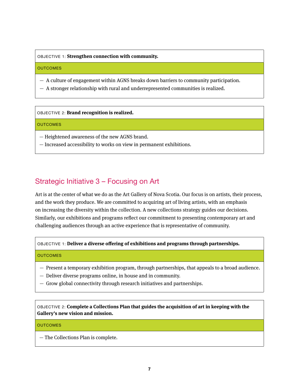#### OBJECTIVE 1: **Strengthen connection with community.**

#### **OUTCOMES**

- A culture of engagement within AGNS breaks down barriers to community participation.
- A stronger relationship with rural and underrepresented communities is realized.

OBJECTIVE 2: **Brand recognition is realized.**

#### **OUTCOMES**

- Heightened awareness of the new AGNS brand.
- Increased accessibility to works on view in permanent exhibitions.

# Strategic Initiative 3 – Focusing on Art

Art is at the center of what we do as the Art Gallery of Nova Scotia. Our focus is on artists, their process, and the work they produce. We are committed to acquiring art of living artists, with an emphasis on increasing the diversity within the collection. A new collections strategy guides our decisions. Similarly, our exhibitions and programs reflect our commitment to presenting contemporary art and challenging audiences through an active experience that is representative of community.

#### OBJECTIVE 1: **Deliver a diverse offering of exhibitions and programs through partnerships.**

#### **OUTCOMES**

- Present a temporary exhibition program, through partnerships, that appeals to a broad audience.
- Deliver diverse programs online, in house and in community.
- Grow global connectivity through research initiatives and partnerships.

OBJECTIVE 2: **Complete a Collections Plan that guides the acquisition of art in keeping with the Gallery's new vision and mission.**

#### **OUTCOMES**

— The Collections Plan is complete.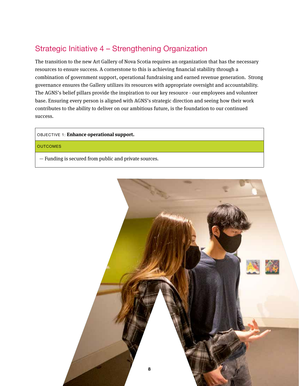# Strategic Initiative 4 – Strengthening Organization

The transition to the new Art Gallery of Nova Scotia requires an organization that has the necessary resources to ensure success. A cornerstone to this is achieving financial stability through a combination of government support, operational fundraising and earned revenue generation. Strong governance ensures the Gallery utilizes its resources with appropriate oversight and accountability. The AGNS's belief pillars provide the inspiration to our key resource - our employees and volunteer base. Ensuring every person is aligned with AGNS's strategic direction and seeing how their work contributes to the ability to deliver on our ambitious future, is the foundation to our continued success.

#### OBJECTIVE 1: **Enhance operational support.**

#### **OUTCOMES**

— Funding is secured from public and private sources.

![](_page_7_Picture_5.jpeg)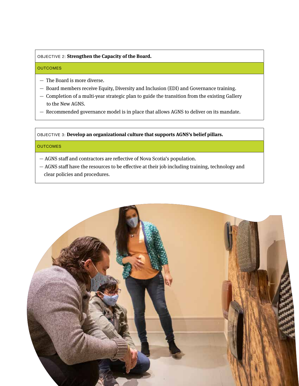#### OBJECTIVE 2: **Strengthen the Capacity of the Board.**

#### **OUTCOMES**

- The Board is more diverse.
- Board members receive Equity, Diversity and Inclusion (EDI) and Governance training.
- Completion of a multi-year strategic plan to guide the transition from the existing Gallery to the New AGNS.
- Recommended governance model is in place that allows AGNS to deliver on its mandate.

OBJECTIVE 3: **Develop an organizational culture that supports AGNS's belief pillars.**

#### **OUTCOMES**

- AGNS staff and contractors are reflective of Nova Scotia's population.
- AGNS staff have the resources to be effective at their job including training, technology and clear policies and procedures.

![](_page_8_Picture_10.jpeg)